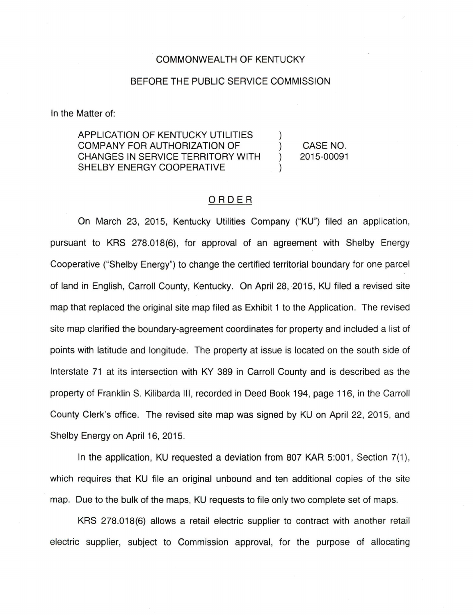## COMMONWEALTH OF KENTUCKY

## BEFORE THE PUBLIC SERVICE COMMISSION

In the Matter of:

APPLICATION OF KENTUCKY UTILITIES COMPANY FOR AUTHORIZATION OF ) CASE NO. CHANGES IN SERVICE TERRITORY WITH ) 2015-00091 SHELBY ENERGY COOPERATIVE

## ORDER

On March 23, 2015, Kentucky Utilities Company ("KU") filed an application, pursuant to KRS 278.018(6), for approval of an agreement with Shelby Energy Cooperative ("Shelby Energy") to change the certified territorial boundary for one parcel of land in English, Carroll County, Kentucky. On April 28, 2015, KU filed a revised site map that replaced the original site map filed as Exhibit 1 to the Application. The revised site map clarified the boundary-agreement coordinates for property and included a list of points with latitude and longitude. The property at issue is located on the south side of Interstate 71 at its intersection with KY 389 in Carroll County and is described as the property of Franklin S. Kilibarda III, recorded in Deed Book 194, page 116, in the Carroll County Clerk's office. The revised site map was signed by KU on April 22, 2015, and Shelby Energy on April 16, 2015.

In the application, KU requested a deviation from 807 KAR 5:001, Section 7(1), which requires that KU file an original unbound and ten additional copies of the site map. Due to the bulk of the maps, KU requests to file only two complete set of maps.

KRS 278.018(6) allows a retail electric supplier to contract with another retail electric supplier, subject to Commission approval, for the purpose of allocating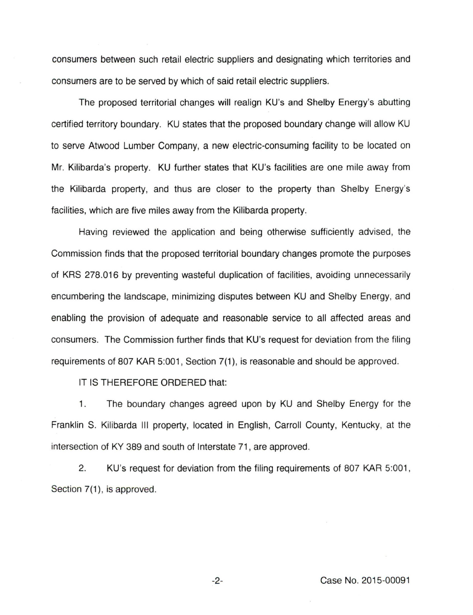consumers between such retail electric suppliers and designating which territories and consumers are to be served by which of said retail electric suppliers.

The proposed territorial changes will realign KU's and Shelby Energy's abutting certified territory boundary. KU states that the proposed boundary change will allow KU to serve Atwood Lumber Company, a new electric-consuming facility to be located on Mr. Kilibarda's property. KU further states that KU's facilities are one mile away from the Kilibarda property, and thus are closer to the property than Shelby Energy's facilities, which are five miles away from the Kilibarda property.

Having reviewed the application and being otherwise sufficiently advised, the Commission finds that the proposed territorial boundary changes promote the purposes of KRS 278.016 by preventing wasteful duplication of facilities, avoiding unnecessarily encumbering the landscape, minimizing disputes between KU and Shelby Energy, and enabling the provision of adequate and reasonable service to all affected areas and consumers. The Commission further finds that KU's request for deviation from the filing requirements of 807 KAR 5:001, Section 7(1), is reasonable and should be approved.

IT IS THEREFORE ORDERED that:

1. The boundary changes agreed upon by KU and Shelby Energy for the Franklin S. Kilibarda III property, located in English, Carroll County, Kentucky, at the intersection of KY 389 and south of Interstate 71, are approved.

2. KU's request for deviation from the filing requirements of 807 KAR 5:001, Section 7(1), is approved.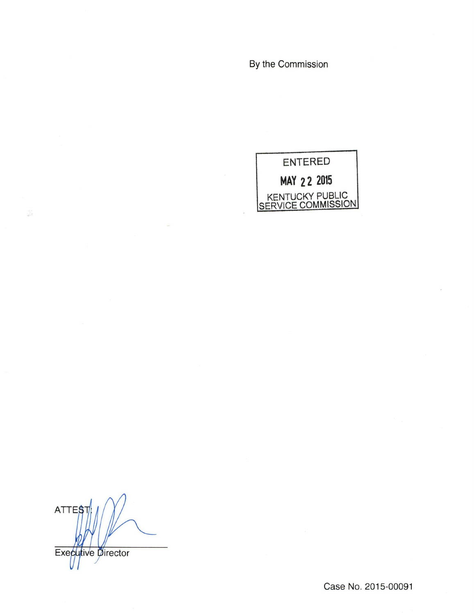By the Commission



**ATTES** Executive Director

5

Case No. 2015-00091